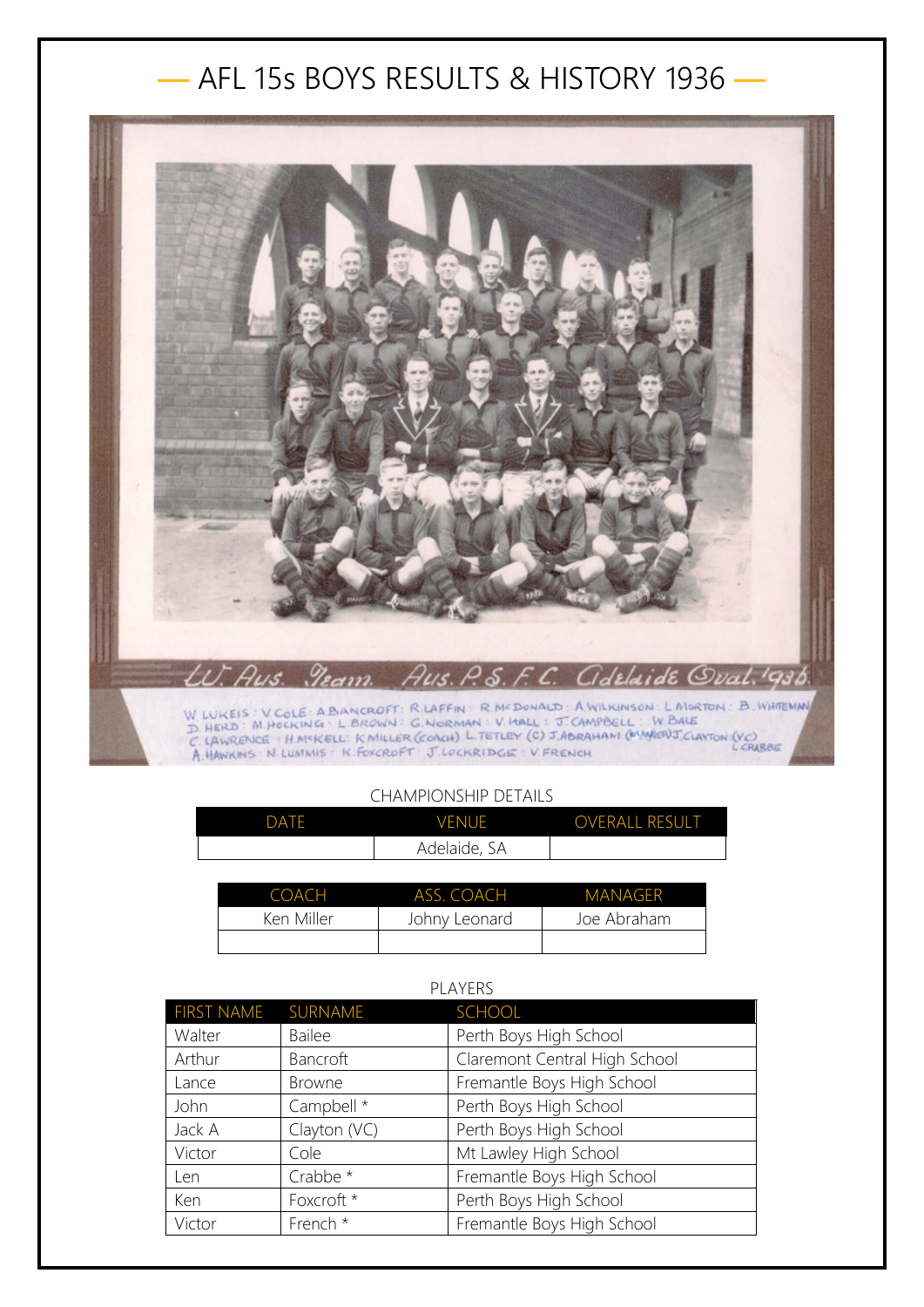## — AFL 15s BOYS RESULTS & HISTORY 1936 —



## CHAMPIONSHIP DETAILS

| DATF | <b>VENUE</b> | <b>OVERALL RESULT</b> |
|------|--------------|-----------------------|
|      | Adelaide, SA |                       |

| COACH      | ASS. COACH    | MANAGER     |
|------------|---------------|-------------|
| Ken Miller | Johny Leonard | Joe Abraham |
|            |               |             |

## PLAYERS

| FIRST NAME SURNAME |               | <b>SCHOOL</b>                 |
|--------------------|---------------|-------------------------------|
| Walter             | <b>Bailee</b> | Perth Boys High School        |
| Arthur             | Bancroft      | Claremont Central High School |
| Lance              | <b>Browne</b> | Fremantle Boys High School    |
| John               | Campbell *    | Perth Boys High School        |
| Jack A             | Clayton (VC)  | Perth Boys High School        |
| Victor             | Cole          | Mt Lawley High School         |
| Len                | Crabbe *      | Fremantle Boys High School    |
| Ken                | Foxcroft *    | Perth Boys High School        |
| Victor             | French *      | Fremantle Boys High School    |